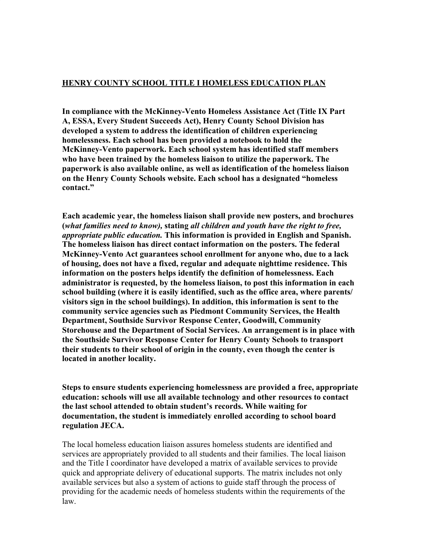### **HENRY COUNTY SCHOOL TITLE I HOMELESS EDUCATION PLAN**

**In compliance with the McKinney-Vento Homeless Assistance Act (Title IX Part A, ESSA, Every Student Succeeds Act), Henry County School Division has developed a system to address the identification of children experiencing homelessness. Each school has been provided a notebook to hold the McKinney-Vento paperwork. Each school system has identified staff members who have been trained by the homeless liaison to utilize the paperwork. The paperwork is also available online, as well as identification of the homeless liaison on the Henry County Schools website. Each school has a designated "homeless contact."**

**Each academic year, the homeless liaison shall provide new posters, and brochures (***what families need to know),* **stating** *all children and youth have the right to free, appropriate public education.* **This information is provided in English and Spanish. The homeless liaison has direct contact information on the posters. The federal McKinney-Vento Act guarantees school enrollment for anyone who, due to a lack of housing, does not have a fixed, regular and adequate nighttime residence. This information on the posters helps identify the definition of homelessness. Each administrator is requested, by the homeless liaison, to post this information in each school building (where it is easily identified, such as the office area, where parents/ visitors sign in the school buildings). In addition, this information is sent to the community service agencies such as Piedmont Community Services, the Health Department, Southside Survivor Response Center, Goodwill, Community Storehouse and the Department of Social Services. An arrangement is in place with the Southside Survivor Response Center for Henry County Schools to transport their students to their school of origin in the county, even though the center is located in another locality.**

**Steps to ensure students experiencing homelessness are provided a free, appropriate education: schools will use all available technology and other resources to contact the last school attended to obtain student's records. While waiting for documentation, the student is immediately enrolled according to school board regulation JECA.**

The local homeless education liaison assures homeless students are identified and services are appropriately provided to all students and their families. The local liaison and the Title I coordinator have developed a matrix of available services to provide quick and appropriate delivery of educational supports. The matrix includes not only available services but also a system of actions to guide staff through the process of providing for the academic needs of homeless students within the requirements of the law.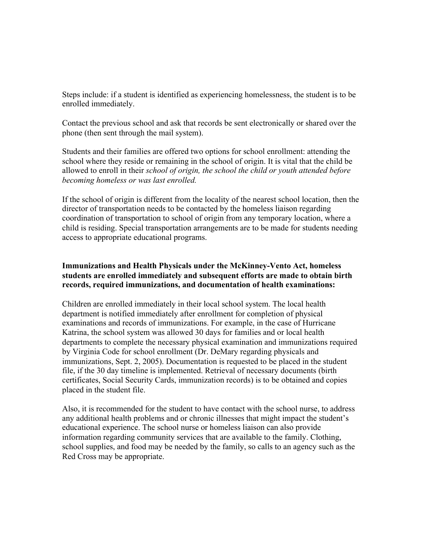Steps include: if a student is identified as experiencing homelessness, the student is to be enrolled immediately.

Contact the previous school and ask that records be sent electronically or shared over the phone (then sent through the mail system).

Students and their families are offered two options for school enrollment: attending the school where they reside or remaining in the school of origin. It is vital that the child be allowed to enroll in their *school of origin, the school the child or youth attended before becoming homeless or was last enrolled.*

If the school of origin is different from the locality of the nearest school location, then the director of transportation needs to be contacted by the homeless liaison regarding coordination of transportation to school of origin from any temporary location, where a child is residing. Special transportation arrangements are to be made for students needing access to appropriate educational programs.

### **Immunizations and Health Physicals under the McKinney-Vento Act, homeless students are enrolled immediately and subsequent efforts are made to obtain birth records, required immunizations, and documentation of health examinations:**

Children are enrolled immediately in their local school system. The local health department is notified immediately after enrollment for completion of physical examinations and records of immunizations. For example, in the case of Hurricane Katrina, the school system was allowed 30 days for families and or local health departments to complete the necessary physical examination and immunizations required by Virginia Code for school enrollment (Dr. DeMary regarding physicals and immunizations, Sept. 2, 2005). Documentation is requested to be placed in the student file, if the 30 day timeline is implemented. Retrieval of necessary documents (birth certificates, Social Security Cards, immunization records) is to be obtained and copies placed in the student file.

Also, it is recommended for the student to have contact with the school nurse, to address any additional health problems and or chronic illnesses that might impact the student's educational experience. The school nurse or homeless liaison can also provide information regarding community services that are available to the family. Clothing, school supplies, and food may be needed by the family, so calls to an agency such as the Red Cross may be appropriate.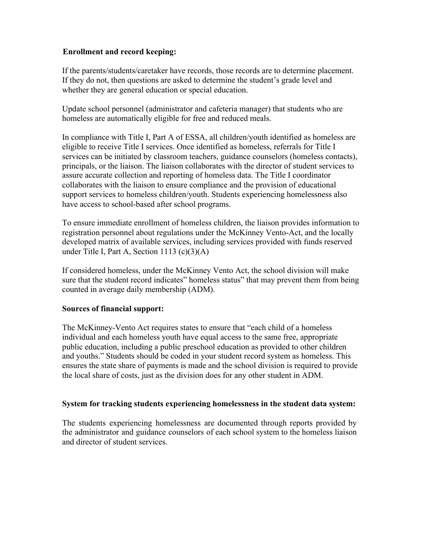### **Enrollment and record keeping:**

If the parents/students/caretaker have records, those records are to determine placement. If they do not, then questions are asked to determine the student's grade level and whether they are general education or special education.

Update school personnel (administrator and cafeteria manager) that students who are homeless are automatically eligible for free and reduced meals.

In compliance with Title I, Part A of ESSA, all children/youth identified as homeless are eligible to receive Title I services. Once identified as homeless, referrals for Title I services can be initiated by classroom teachers, guidance counselors (homeless contacts), principals, or the liaison. The liaison collaborates with the director of student services to assure accurate collection and reporting of homeless data. The Title I coordinator collaborates with the liaison to ensure compliance and the provision of educational support services to homeless children/youth. Students experiencing homelessness also have access to school-based after school programs.

To ensure immediate enrollment of homeless children, the liaison provides information to registration personnel about regulations under the McKinney Vento-Act, and the locally developed matrix of available services, including services provided with funds reserved under Title I, Part A, Section 1113 (c)(3)(A)

If considered homeless, under the McKinney Vento Act, the school division will make sure that the student record indicates" homeless status" that may prevent them from being counted in average daily membership (ADM).

#### **Sources of financial support:**

The McKinney-Vento Act requires states to ensure that "each child of a homeless individual and each homeless youth have equal access to the same free, appropriate public education, including a public preschool education as provided to other children and youths." Students should be coded in your student record system as homeless. This ensures the state share of payments is made and the school division is required to provide the local share of costs, just as the division does for any other student in ADM.

# **System for tracking students experiencing homelessness in the student data system:**

The students experiencing homelessness are documented through reports provided by the administrator and guidance counselors of each school system to the homeless liaison and director of student services.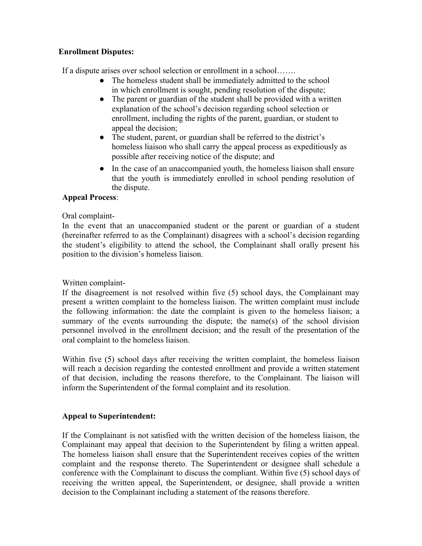# **Enrollment Disputes:**

If a dispute arises over school selection or enrollment in a school…….

- The homeless student shall be immediately admitted to the school in which enrollment is sought, pending resolution of the dispute;
- The parent or guardian of the student shall be provided with a written explanation of the school's decision regarding school selection or enrollment, including the rights of the parent, guardian, or student to appeal the decision;
- The student, parent, or guardian shall be referred to the district's homeless liaison who shall carry the appeal process as expeditiously as possible after receiving notice of the dispute; and
- In the case of an unaccompanied youth, the homeless liaison shall ensure that the youth is immediately enrolled in school pending resolution of the dispute.

# **Appeal Process**:

# Oral complaint-

In the event that an unaccompanied student or the parent or guardian of a student (hereinafter referred to as the Complainant) disagrees with a school's decision regarding the student's eligibility to attend the school, the Complainant shall orally present his position to the division's homeless liaison.

# Written complaint-

If the disagreement is not resolved within five (5) school days, the Complainant may present a written complaint to the homeless liaison. The written complaint must include the following information: the date the complaint is given to the homeless liaison; a summary of the events surrounding the dispute; the name(s) of the school division personnel involved in the enrollment decision; and the result of the presentation of the oral complaint to the homeless liaison.

Within five (5) school days after receiving the written complaint, the homeless liaison will reach a decision regarding the contested enrollment and provide a written statement of that decision, including the reasons therefore, to the Complainant. The liaison will inform the Superintendent of the formal complaint and its resolution.

# **Appeal to Superintendent:**

If the Complainant is not satisfied with the written decision of the homeless liaison, the Complainant may appeal that decision to the Superintendent by filing a written appeal. The homeless liaison shall ensure that the Superintendent receives copies of the written complaint and the response thereto. The Superintendent or designee shall schedule a conference with the Complainant to discuss the compliant. Within five (5) school days of receiving the written appeal, the Superintendent, or designee, shall provide a written decision to the Complainant including a statement of the reasons therefore.